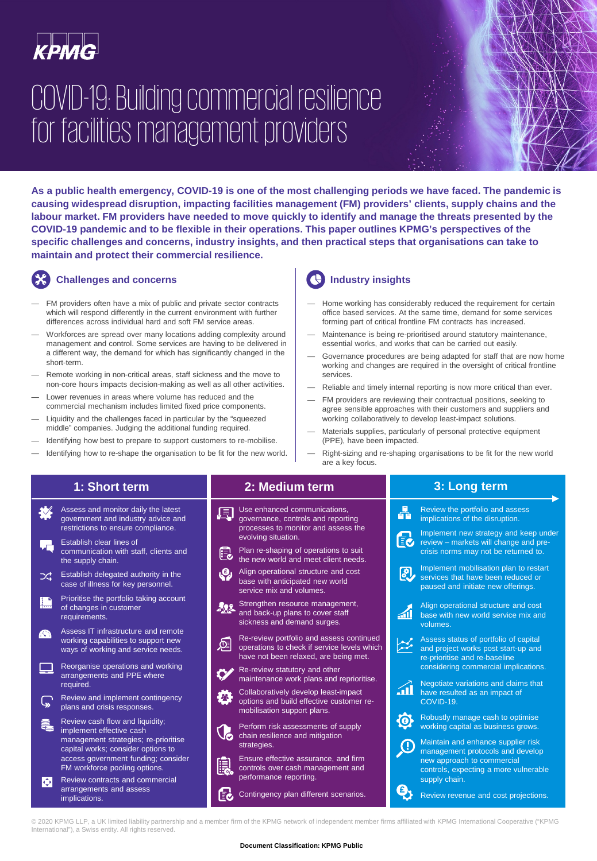

# COVID-19: Building commercial resilience for facilities management providers

**As a public health emergency, COVID-19 is one of the most challenging periods we have faced. The pandemic is causing widespread disruption, impacting facilities management (FM) providers' clients, supply chains and the labour market. FM providers have needed to move quickly to identify and manage the threats presented by the COVID-19 pandemic and to be flexible in their operations. This paper outlines KPMG's perspectives of the specific challenges and concerns, industry insights, and then practical steps that organisations can take to maintain and protect their commercial resilience.**

## **Challenges and concerns**

- FM providers often have a mix of public and private sector contracts which will respond differently in the current environment with further differences across individual hard and soft FM service areas.
- Workforces are spread over many locations adding complexity around management and control. Some services are having to be delivered in a different way, the demand for which has significantly changed in the short-term.
- Remote working in non-critical areas, staff sickness and the move to non-core hours impacts decision-making as well as all other activities.
- Lower revenues in areas where volume has reduced and the commercial mechanism includes limited fixed price components.
- Liquidity and the challenges faced in particular by the "squeezed middle" companies. Judging the additional funding required.
- Identifying how best to prepare to support customers to re-mobilise.
- Identifying how to re-shape the organisation to be fit for the new world.

## **Industry insights**

- Home working has considerably reduced the requirement for certain office based services. At the same time, demand for some services forming part of critical frontline FM contracts has increased.
- Maintenance is being re-prioritised around statutory maintenance, essential works, and works that can be carried out easily.
- Governance procedures are being adapted for staff that are now home working and changes are required in the oversight of critical frontline services.
- Reliable and timely internal reporting is now more critical than ever.
- FM providers are reviewing their contractual positions, seeking to agree sensible approaches with their customers and suppliers and working collaboratively to develop least-impact solutions.
- Materials supplies, particularly of personal protective equipment (PPE), have been impacted.
- Right-sizing and re-shaping organisations to be fit for the new world are a key focus.

## **1: Short term**



- the supply chain. Establish delegated authority in the つぐ case of illness for key personnel.
- Prioritise the portfolio taking account L of changes in customer requirements.
- Assess IT infrastructure and remote **SSA** working capabilities to support new ways of working and service needs.
- Reorganise operations and working arrangements and PPE where required.
- Review and implement contingency ھا plans and crisis responses.
- Review cash flow and liquidity; ₹ implement effective cash management strategies; re-prioritise capital works; consider options to access government funding; consider FM workforce pooling options.
- Review contracts and commercial  $\bullet$ arrangements and assess implications.

## **2: Medium term**

- Use enhanced communications, 圓 governance, controls and reporting processes to monitor and assess the evolving situation.
- Plan re-shaping of operations to suit the new world and meet client needs.
- Align operational structure and cost base with anticipated new world
- service mix and volumes. Strengthen resource management, 502
- and back-up plans to cover staff sickness and demand surges.
- Re-review portfolio and assess continued operations to check if service levels which have not been relaxed, are being met.
- Re-review statutory and other maintenance work plans and reprioritise.
- Collaboratively develop least-impact options and build effective customer remobilisation support plans.
- $\mathbb{C}^n$



- Perform risk assessments of supply chain resilience and mitigation strategies.
- Ensure effective assurance, and firm controls over cash management and performance reporting.
- **EX** Contingency plan different scenarios.

## **3: Long term**

Review the portfolio and assess 옯 implications of the disruption. Implement new strategy and keep under 記 review – markets will change and precrisis norms may not be returned to. Implement mobilisation plan to restart இ, services that have been reduced or paused and initiate new offerings. Align operational structure and cost aí base with new world service mix and volumes. Assess status of portfolio of capital and project works post start-up and re-prioritise and re-baseline considering commercial implications. Negotiate variations and claims that áÌ have resulted as an impact of COVID-19. Robustly manage cash to optimise **@** working capital as business grows. Maintain and enhance supplier risk management protocols and develop new approach to commercial controls, expecting a more vulnerable supply chain. ą, Review revenue and cost projections.

© 2020 KPMG LLP, a UK limited liability partnership and a member firm of the KPMG network of independent member firms affiliated with KPMG International Cooperative ("KPMG International"), a Swiss entity. All rights reserved.